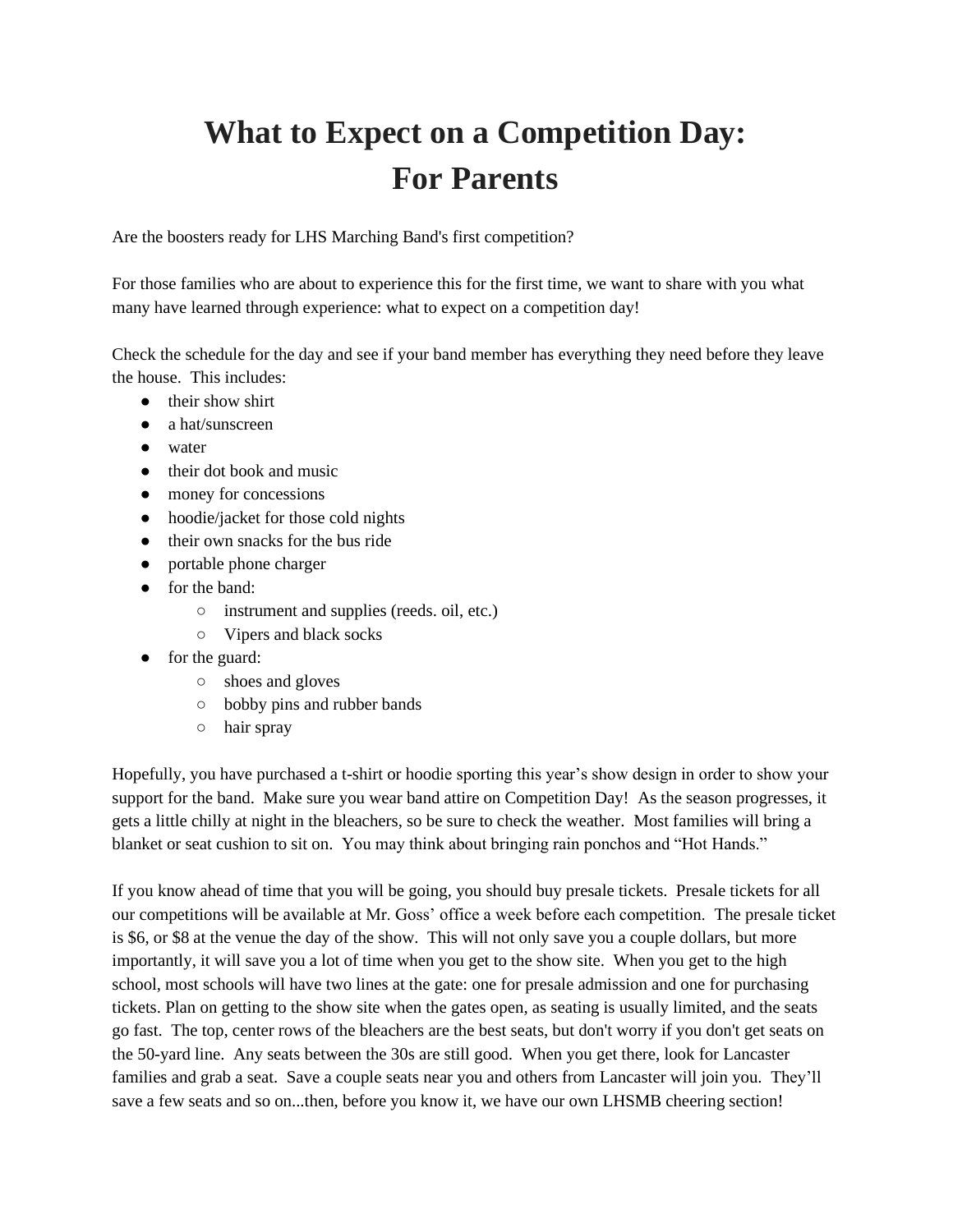## **What to Expect on a Competition Day: For Parents**

Are the boosters ready for LHS Marching Band's first competition?

For those families who are about to experience this for the first time, we want to share with you what many have learned through experience: what to expect on a competition day!

Check the schedule for the day and see if your band member has everything they need before they leave the house. This includes:

- their show shirt
- a hat/sunscreen
- water
- their dot book and music
- money for concessions
- hoodie/jacket for those cold nights
- their own snacks for the bus ride
- portable phone charger
- for the band:
	- instrument and supplies (reeds. oil, etc.)
	- Vipers and black socks
- for the guard:
	- o shoes and gloves
	- bobby pins and rubber bands
	- hair spray

Hopefully, you have purchased a t-shirt or hoodie sporting this year's show design in order to show your support for the band. Make sure you wear band attire on Competition Day! As the season progresses, it gets a little chilly at night in the bleachers, so be sure to check the weather. Most families will bring a blanket or seat cushion to sit on. You may think about bringing rain ponchos and "Hot Hands."

If you know ahead of time that you will be going, you should buy presale tickets. Presale tickets for all our competitions will be available at Mr. Goss' office a week before each competition. The presale ticket is \$6, or \$8 at the venue the day of the show. This will not only save you a couple dollars, but more importantly, it will save you a lot of time when you get to the show site. When you get to the high school, most schools will have two lines at the gate: one for presale admission and one for purchasing tickets. Plan on getting to the show site when the gates open, as seating is usually limited, and the seats go fast. The top, center rows of the bleachers are the best seats, but don't worry if you don't get seats on the 50-yard line. Any seats between the 30s are still good. When you get there, look for Lancaster families and grab a seat. Save a couple seats near you and others from Lancaster will join you. They'll save a few seats and so on...then, before you know it, we have our own LHSMB cheering section!